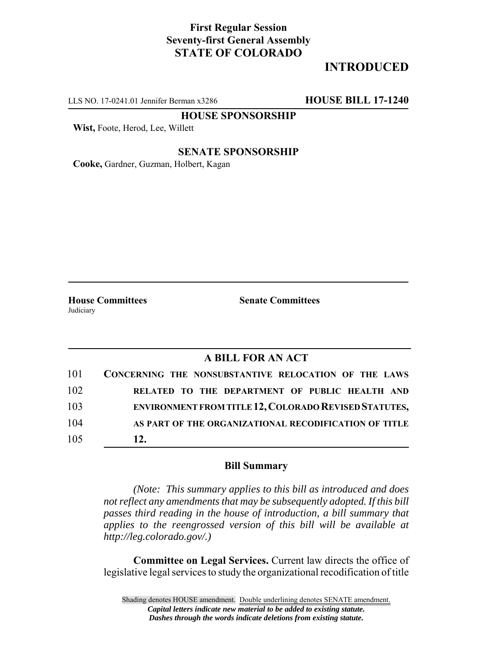## **First Regular Session Seventy-first General Assembly STATE OF COLORADO**

## **INTRODUCED**

LLS NO. 17-0241.01 Jennifer Berman x3286 **HOUSE BILL 17-1240**

**HOUSE SPONSORSHIP**

**Wist,** Foote, Herod, Lee, Willett

#### **SENATE SPONSORSHIP**

**Cooke,** Gardner, Guzman, Holbert, Kagan

Judiciary

**House Committees Senate Committees** 

### **A BILL FOR AN ACT**

| 101 | CONCERNING THE NONSUBSTANTIVE RELOCATION OF THE LAWS         |
|-----|--------------------------------------------------------------|
| 102 | RELATED TO THE DEPARTMENT OF PUBLIC HEALTH AND               |
| 103 | <b>ENVIRONMENT FROM TITLE 12, COLORADO REVISED STATUTES,</b> |
| 104 | AS PART OF THE ORGANIZATIONAL RECODIFICATION OF TITLE        |
| 105 | 12.                                                          |

#### **Bill Summary**

*(Note: This summary applies to this bill as introduced and does not reflect any amendments that may be subsequently adopted. If this bill passes third reading in the house of introduction, a bill summary that applies to the reengrossed version of this bill will be available at http://leg.colorado.gov/.)*

**Committee on Legal Services.** Current law directs the office of legislative legal services to study the organizational recodification of title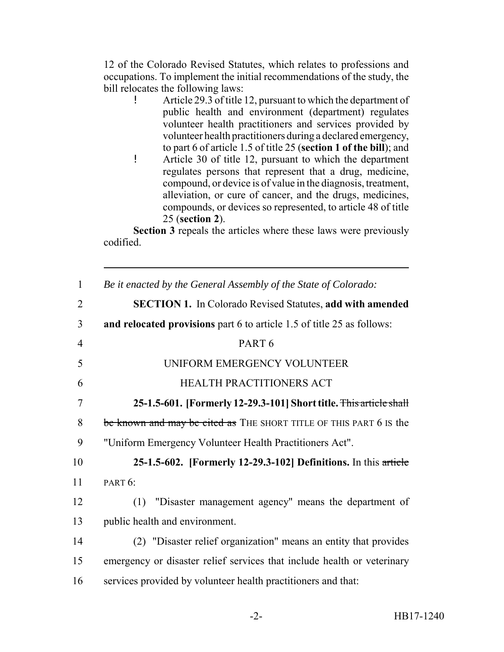12 of the Colorado Revised Statutes, which relates to professions and occupations. To implement the initial recommendations of the study, the bill relocates the following laws:

- ! Article 29.3 of title 12, pursuant to which the department of public health and environment (department) regulates volunteer health practitioners and services provided by volunteer health practitioners during a declared emergency, to part 6 of article 1.5 of title 25 (**section 1 of the bill**); and
- ! Article 30 of title 12, pursuant to which the department regulates persons that represent that a drug, medicine, compound, or device is of value in the diagnosis, treatment, alleviation, or cure of cancer, and the drugs, medicines, compounds, or devices so represented, to article 48 of title 25 (**section 2**).

**Section 3** repeals the articles where these laws were previously codified.

| $\mathbf{1}$   | Be it enacted by the General Assembly of the State of Colorado:         |
|----------------|-------------------------------------------------------------------------|
| $\overline{2}$ | <b>SECTION 1.</b> In Colorado Revised Statutes, add with amended        |
| 3              | and relocated provisions part 6 to article 1.5 of title 25 as follows:  |
| $\overline{4}$ | PART <sub>6</sub>                                                       |
| 5              | UNIFORM EMERGENCY VOLUNTEER                                             |
| 6              | HEALTH PRACTITIONERS ACT                                                |
| $\overline{7}$ | 25-1.5-601. [Formerly 12-29.3-101] Short title. This article shall      |
| 8              | be known and may be cited as THE SHORT TITLE OF THIS PART 6 IS the      |
| 9              | "Uniform Emergency Volunteer Health Practitioners Act".                 |
| 10             | 25-1.5-602. [Formerly 12-29.3-102] Definitions. In this article         |
| 11             | PART $6$ :                                                              |
| 12             | "Disaster management agency" means the department of<br>(1)             |
| 13             | public health and environment.                                          |
| 14             | (2) "Disaster relief organization" means an entity that provides        |
| 15             | emergency or disaster relief services that include health or veterinary |
| 16             | services provided by volunteer health practitioners and that:           |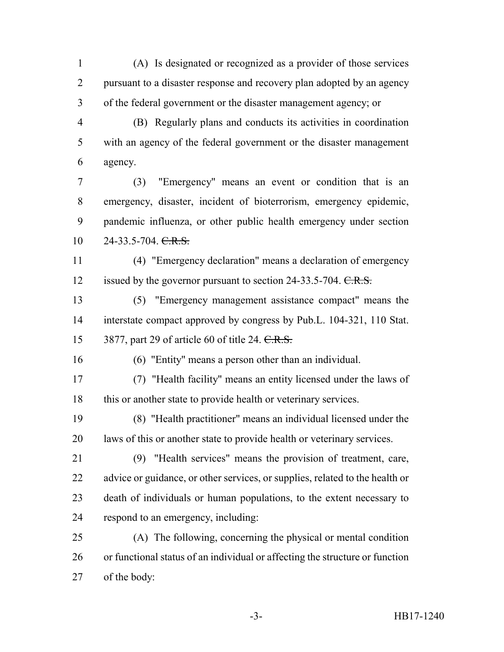(A) Is designated or recognized as a provider of those services pursuant to a disaster response and recovery plan adopted by an agency of the federal government or the disaster management agency; or

 (B) Regularly plans and conducts its activities in coordination with an agency of the federal government or the disaster management agency.

 (3) "Emergency" means an event or condition that is an emergency, disaster, incident of bioterrorism, emergency epidemic, pandemic influenza, or other public health emergency under section 10 24-33.5-704. C.R.S.

 (4) "Emergency declaration" means a declaration of emergency 12 issued by the governor pursuant to section 24-33.5-704. C.R.S.

 (5) "Emergency management assistance compact" means the interstate compact approved by congress by Pub.L. 104-321, 110 Stat. 15 3877, part 29 of article 60 of title 24. C.R.S.

(6) "Entity" means a person other than an individual.

 (7) "Health facility" means an entity licensed under the laws of this or another state to provide health or veterinary services.

 (8) "Health practitioner" means an individual licensed under the laws of this or another state to provide health or veterinary services.

- (9) "Health services" means the provision of treatment, care, 22 advice or guidance, or other services, or supplies, related to the health or death of individuals or human populations, to the extent necessary to respond to an emergency, including:
- (A) The following, concerning the physical or mental condition or functional status of an individual or affecting the structure or function of the body: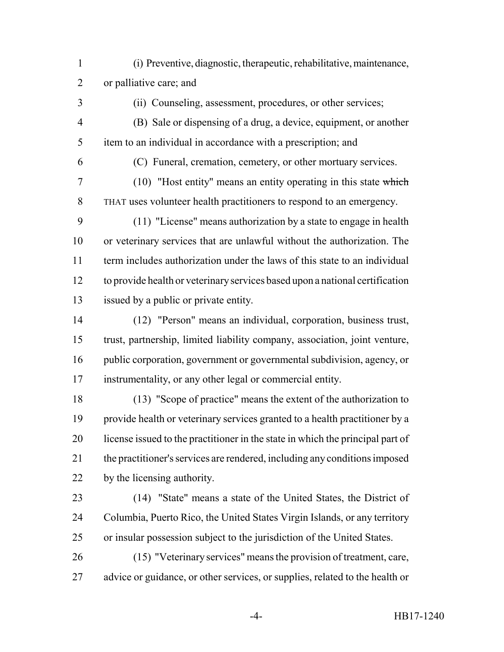(i) Preventive, diagnostic, therapeutic, rehabilitative, maintenance, or palliative care; and

(ii) Counseling, assessment, procedures, or other services;

 (B) Sale or dispensing of a drug, a device, equipment, or another item to an individual in accordance with a prescription; and

(C) Funeral, cremation, cemetery, or other mortuary services.

 (10) "Host entity" means an entity operating in this state which THAT uses volunteer health practitioners to respond to an emergency.

 (11) "License" means authorization by a state to engage in health or veterinary services that are unlawful without the authorization. The term includes authorization under the laws of this state to an individual to provide health or veterinary services based upon a national certification issued by a public or private entity.

 (12) "Person" means an individual, corporation, business trust, trust, partnership, limited liability company, association, joint venture, public corporation, government or governmental subdivision, agency, or instrumentality, or any other legal or commercial entity.

 (13) "Scope of practice" means the extent of the authorization to provide health or veterinary services granted to a health practitioner by a license issued to the practitioner in the state in which the principal part of the practitioner's services are rendered, including any conditions imposed by the licensing authority.

- (14) "State" means a state of the United States, the District of Columbia, Puerto Rico, the United States Virgin Islands, or any territory or insular possession subject to the jurisdiction of the United States.
- (15) "Veterinary services" means the provision of treatment, care, advice or guidance, or other services, or supplies, related to the health or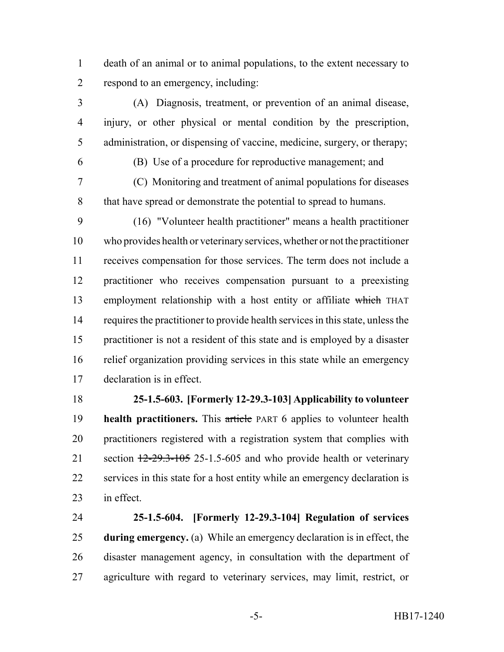death of an animal or to animal populations, to the extent necessary to respond to an emergency, including:

 (A) Diagnosis, treatment, or prevention of an animal disease, injury, or other physical or mental condition by the prescription, administration, or dispensing of vaccine, medicine, surgery, or therapy;

(B) Use of a procedure for reproductive management; and

 (C) Monitoring and treatment of animal populations for diseases that have spread or demonstrate the potential to spread to humans.

 (16) "Volunteer health practitioner" means a health practitioner who provides health or veterinary services, whether or not the practitioner receives compensation for those services. The term does not include a practitioner who receives compensation pursuant to a preexisting 13 employment relationship with a host entity or affiliate which THAT requires the practitioner to provide health services in this state, unless the practitioner is not a resident of this state and is employed by a disaster relief organization providing services in this state while an emergency declaration is in effect.

# **25-1.5-603. [Formerly 12-29.3-103] Applicability to volunteer**

**health practitioners.** This article PART 6 applies to volunteer health practitioners registered with a registration system that complies with 21 section  $\frac{12-29.3-105}{25-1.5-605}$  and who provide health or veterinary services in this state for a host entity while an emergency declaration is in effect.

 **25-1.5-604. [Formerly 12-29.3-104] Regulation of services during emergency.** (a) While an emergency declaration is in effect, the disaster management agency, in consultation with the department of agriculture with regard to veterinary services, may limit, restrict, or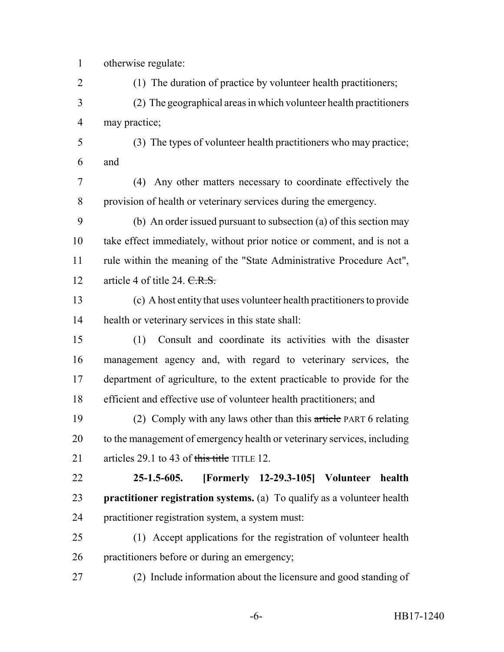otherwise regulate:

(1) The duration of practice by volunteer health practitioners;

 (2) The geographical areas in which volunteer health practitioners may practice;

 (3) The types of volunteer health practitioners who may practice; and

 (4) Any other matters necessary to coordinate effectively the provision of health or veterinary services during the emergency.

 (b) An order issued pursuant to subsection (a) of this section may take effect immediately, without prior notice or comment, and is not a rule within the meaning of the "State Administrative Procedure Act", 12 article 4 of title 24.  $CRS$ 

 (c) A host entity that uses volunteer health practitioners to provide health or veterinary services in this state shall:

 (1) Consult and coordinate its activities with the disaster management agency and, with regard to veterinary services, the department of agriculture, to the extent practicable to provide for the efficient and effective use of volunteer health practitioners; and

 (2) Comply with any laws other than this article PART 6 relating to the management of emergency health or veterinary services, including 21 articles 29.1 to 43 of this title TITLE 12.

 **25-1.5-605. [Formerly 12-29.3-105] Volunteer health practitioner registration systems.** (a) To qualify as a volunteer health practitioner registration system, a system must:

 (1) Accept applications for the registration of volunteer health practitioners before or during an emergency;

(2) Include information about the licensure and good standing of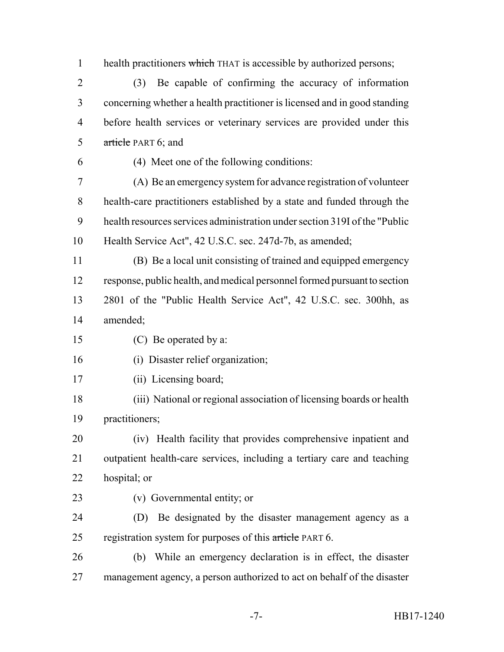1 health practitioners which THAT is accessible by authorized persons;

 (3) Be capable of confirming the accuracy of information concerning whether a health practitioner is licensed and in good standing before health services or veterinary services are provided under this article PART 6; and

(4) Meet one of the following conditions:

 (A) Be an emergency system for advance registration of volunteer health-care practitioners established by a state and funded through the health resources services administration under section 319I of the "Public Health Service Act", 42 U.S.C. sec. 247d-7b, as amended;

 (B) Be a local unit consisting of trained and equipped emergency response, public health, and medical personnel formed pursuant to section 2801 of the "Public Health Service Act", 42 U.S.C. sec. 300hh, as amended;

(C) Be operated by a:

(i) Disaster relief organization;

(ii) Licensing board;

 (iii) National or regional association of licensing boards or health practitioners;

 (iv) Health facility that provides comprehensive inpatient and outpatient health-care services, including a tertiary care and teaching hospital; or

(v) Governmental entity; or

 (D) Be designated by the disaster management agency as a 25 registration system for purposes of this article PART 6.

 (b) While an emergency declaration is in effect, the disaster management agency, a person authorized to act on behalf of the disaster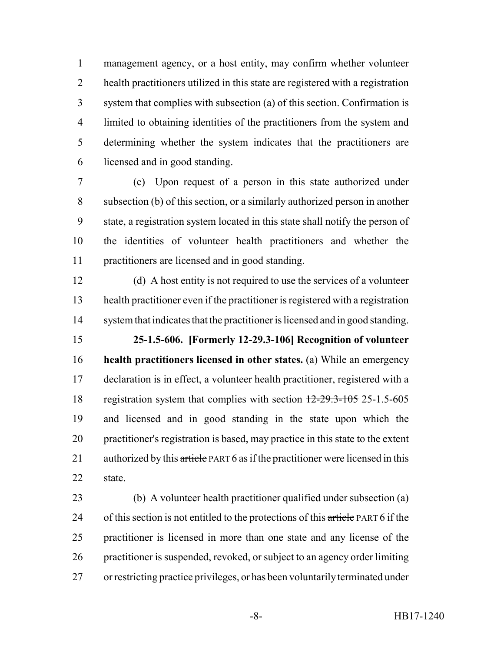management agency, or a host entity, may confirm whether volunteer health practitioners utilized in this state are registered with a registration system that complies with subsection (a) of this section. Confirmation is limited to obtaining identities of the practitioners from the system and determining whether the system indicates that the practitioners are licensed and in good standing.

 (c) Upon request of a person in this state authorized under subsection (b) of this section, or a similarly authorized person in another state, a registration system located in this state shall notify the person of the identities of volunteer health practitioners and whether the practitioners are licensed and in good standing.

 (d) A host entity is not required to use the services of a volunteer health practitioner even if the practitioner is registered with a registration system that indicates that the practitioner is licensed and in good standing.

 **25-1.5-606. [Formerly 12-29.3-106] Recognition of volunteer health practitioners licensed in other states.** (a) While an emergency declaration is in effect, a volunteer health practitioner, registered with a 18 registration system that complies with section  $12-29.3-105$  25-1.5-605 and licensed and in good standing in the state upon which the practitioner's registration is based, may practice in this state to the extent 21 authorized by this article PART 6 as if the practitioner were licensed in this state.

 (b) A volunteer health practitioner qualified under subsection (a) 24 of this section is not entitled to the protections of this article PART 6 if the practitioner is licensed in more than one state and any license of the practitioner is suspended, revoked, or subject to an agency order limiting or restricting practice privileges, or has been voluntarily terminated under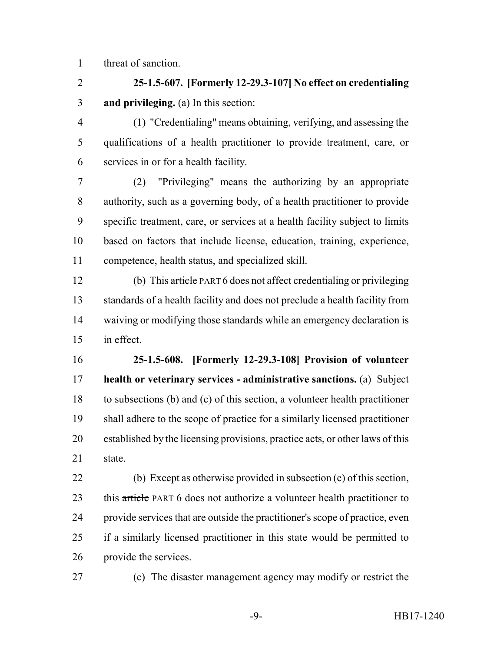threat of sanction.

 **25-1.5-607. [Formerly 12-29.3-107] No effect on credentialing and privileging.** (a) In this section:

 (1) "Credentialing" means obtaining, verifying, and assessing the qualifications of a health practitioner to provide treatment, care, or services in or for a health facility.

 (2) "Privileging" means the authorizing by an appropriate authority, such as a governing body, of a health practitioner to provide specific treatment, care, or services at a health facility subject to limits based on factors that include license, education, training, experience, competence, health status, and specialized skill.

 (b) This article PART 6 does not affect credentialing or privileging standards of a health facility and does not preclude a health facility from waiving or modifying those standards while an emergency declaration is in effect.

 **25-1.5-608. [Formerly 12-29.3-108] Provision of volunteer health or veterinary services - administrative sanctions.** (a) Subject to subsections (b) and (c) of this section, a volunteer health practitioner shall adhere to the scope of practice for a similarly licensed practitioner established by the licensing provisions, practice acts, or other laws of this state.

 (b) Except as otherwise provided in subsection (c) of this section, 23 this article PART 6 does not authorize a volunteer health practitioner to provide services that are outside the practitioner's scope of practice, even if a similarly licensed practitioner in this state would be permitted to provide the services.

(c) The disaster management agency may modify or restrict the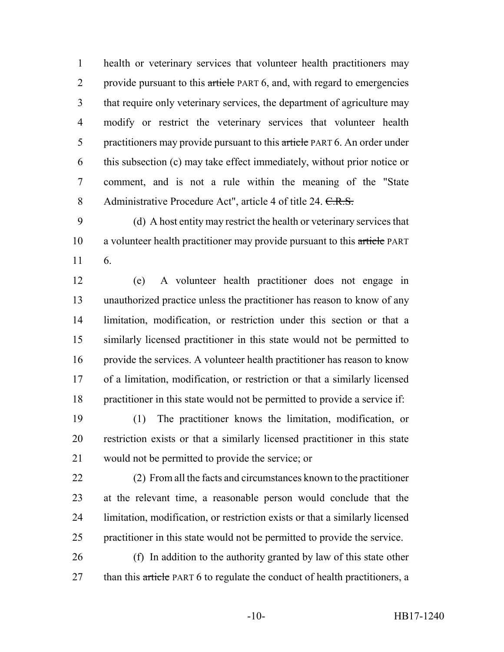health or veterinary services that volunteer health practitioners may 2 provide pursuant to this article PART 6, and, with regard to emergencies that require only veterinary services, the department of agriculture may modify or restrict the veterinary services that volunteer health 5 practitioners may provide pursuant to this article PART 6. An order under this subsection (c) may take effect immediately, without prior notice or comment, and is not a rule within the meaning of the "State 8 Administrative Procedure Act", article 4 of title 24. C.R.S.

 (d) A host entity may restrict the health or veterinary services that 10 a volunteer health practitioner may provide pursuant to this article PART 6.

 (e) A volunteer health practitioner does not engage in unauthorized practice unless the practitioner has reason to know of any limitation, modification, or restriction under this section or that a similarly licensed practitioner in this state would not be permitted to provide the services. A volunteer health practitioner has reason to know of a limitation, modification, or restriction or that a similarly licensed practitioner in this state would not be permitted to provide a service if:

 (1) The practitioner knows the limitation, modification, or restriction exists or that a similarly licensed practitioner in this state would not be permitted to provide the service; or

 (2) From all the facts and circumstances known to the practitioner at the relevant time, a reasonable person would conclude that the limitation, modification, or restriction exists or that a similarly licensed practitioner in this state would not be permitted to provide the service.

 (f) In addition to the authority granted by law of this state other 27 than this article PART 6 to regulate the conduct of health practitioners, a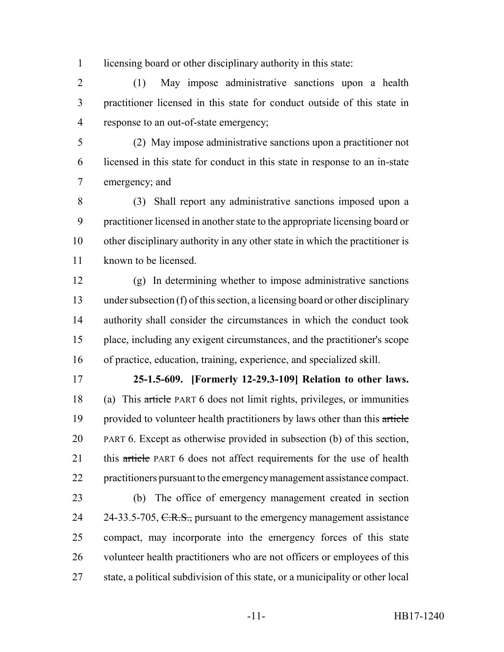licensing board or other disciplinary authority in this state:

 (1) May impose administrative sanctions upon a health practitioner licensed in this state for conduct outside of this state in response to an out-of-state emergency;

 (2) May impose administrative sanctions upon a practitioner not licensed in this state for conduct in this state in response to an in-state emergency; and

 (3) Shall report any administrative sanctions imposed upon a practitioner licensed in another state to the appropriate licensing board or other disciplinary authority in any other state in which the practitioner is known to be licensed.

 (g) In determining whether to impose administrative sanctions under subsection (f) of this section, a licensing board or other disciplinary authority shall consider the circumstances in which the conduct took place, including any exigent circumstances, and the practitioner's scope of practice, education, training, experience, and specialized skill.

 **25-1.5-609. [Formerly 12-29.3-109] Relation to other laws.** (a) This article PART 6 does not limit rights, privileges, or immunities 19 provided to volunteer health practitioners by laws other than this article PART 6. Except as otherwise provided in subsection (b) of this section, 21 this article PART 6 does not affect requirements for the use of health practitioners pursuant to the emergency management assistance compact.

 (b) The office of emergency management created in section 24 24-33.5-705, C.R.S., pursuant to the emergency management assistance compact, may incorporate into the emergency forces of this state volunteer health practitioners who are not officers or employees of this state, a political subdivision of this state, or a municipality or other local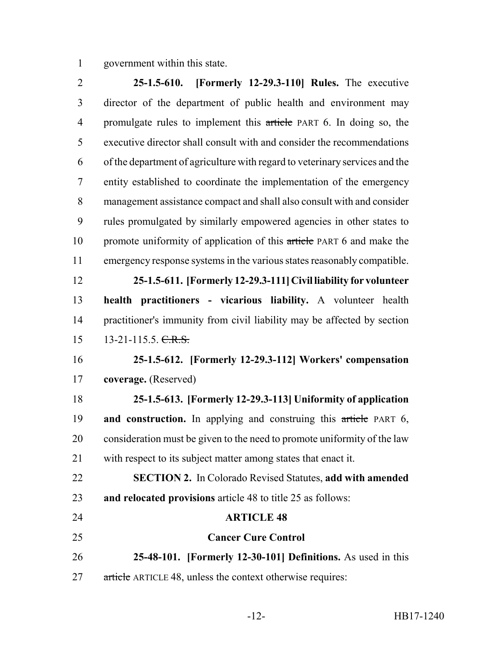government within this state.

 **25-1.5-610. [Formerly 12-29.3-110] Rules.** The executive director of the department of public health and environment may 4 promulgate rules to implement this article PART 6. In doing so, the executive director shall consult with and consider the recommendations of the department of agriculture with regard to veterinary services and the entity established to coordinate the implementation of the emergency management assistance compact and shall also consult with and consider rules promulgated by similarly empowered agencies in other states to 10 promote uniformity of application of this article PART 6 and make the emergency response systems in the various states reasonably compatible. **25-1.5-611. [Formerly 12-29.3-111] Civil liability for volunteer health practitioners - vicarious liability.** A volunteer health practitioner's immunity from civil liability may be affected by section 15 13-21-115.5. C.R.S. **25-1.5-612. [Formerly 12-29.3-112] Workers' compensation coverage.** (Reserved) **25-1.5-613. [Formerly 12-29.3-113] Uniformity of application and construction.** In applying and construing this article PART 6, consideration must be given to the need to promote uniformity of the law with respect to its subject matter among states that enact it. **SECTION 2.** In Colorado Revised Statutes, **add with amended and relocated provisions** article 48 to title 25 as follows: **ARTICLE 48 Cancer Cure Control 25-48-101. [Formerly 12-30-101] Definitions.** As used in this 27 article ARTICLE 48, unless the context otherwise requires: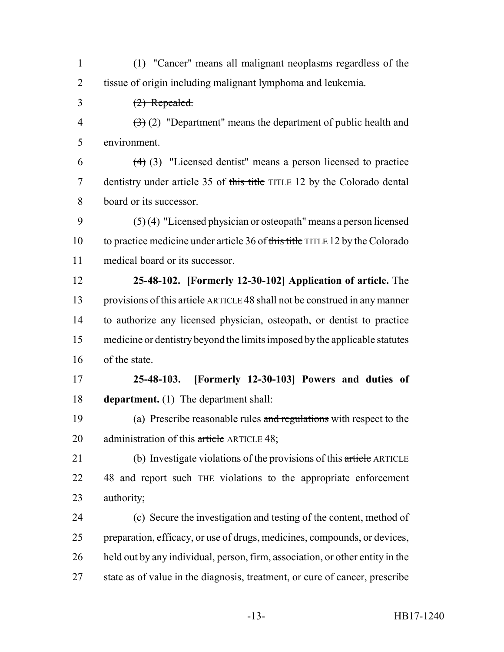(1) "Cancer" means all malignant neoplasms regardless of the tissue of origin including malignant lymphoma and leukemia.

(2) Repealed.

4  $(3)(2)$  "Department" means the department of public health and environment.

 $(4)$  (3) "Licensed dentist" means a person licensed to practice 7 dentistry under article 35 of this title TITLE 12 by the Colorado dental board or its successor.

9  $(5)(4)$  "Licensed physician or osteopath" means a person licensed to practice medicine under article 36 of this title TITLE 12 by the Colorado medical board or its successor.

 **25-48-102. [Formerly 12-30-102] Application of article.** The 13 provisions of this article ARTICLE 48 shall not be construed in any manner to authorize any licensed physician, osteopath, or dentist to practice medicine or dentistry beyond the limits imposed by the applicable statutes of the state.

 **25-48-103. [Formerly 12-30-103] Powers and duties of department.** (1) The department shall:

19 (a) Prescribe reasonable rules and regulations with respect to the 20 administration of this article ARTICLE 48;

21 (b) Investigate violations of the provisions of this article ARTICLE 22 48 and report such THE violations to the appropriate enforcement authority;

 (c) Secure the investigation and testing of the content, method of preparation, efficacy, or use of drugs, medicines, compounds, or devices, held out by any individual, person, firm, association, or other entity in the state as of value in the diagnosis, treatment, or cure of cancer, prescribe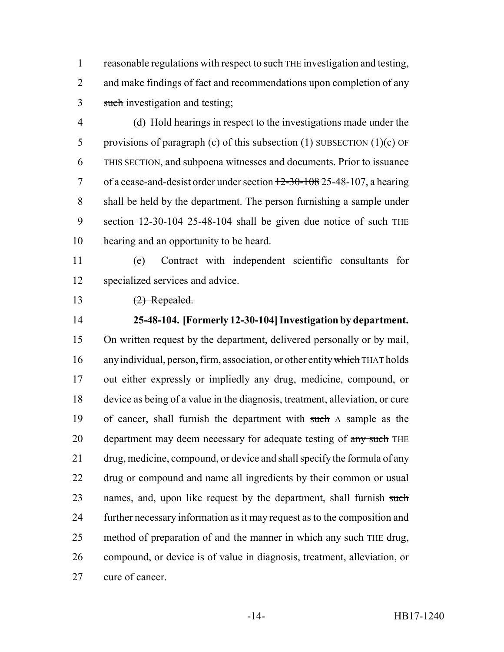1 reasonable regulations with respect to such THE investigation and testing, and make findings of fact and recommendations upon completion of any 3 such investigation and testing;

 (d) Hold hearings in respect to the investigations made under the 5 provisions of paragraph (c) of this subsection  $(1)$  SUBSECTION  $(1)(c)$  OF THIS SECTION, and subpoena witnesses and documents. Prior to issuance 7 of a cease-and-desist order under section  $\frac{12-30-108}{25-48-107}$ , a hearing shall be held by the department. The person furnishing a sample under 9 section  $\frac{12-30-104}{25-48-104}$  shall be given due notice of such THE hearing and an opportunity to be heard.

 (e) Contract with independent scientific consultants for specialized services and advice.

13 (2) Repealed.

# **25-48-104. [Formerly 12-30-104] Investigation by department.**

 On written request by the department, delivered personally or by mail, 16 any individual, person, firm, association, or other entity which THAT holds out either expressly or impliedly any drug, medicine, compound, or device as being of a value in the diagnosis, treatment, alleviation, or cure of cancer, shall furnish the department with such A sample as the 20 department may deem necessary for adequate testing of any such THE drug, medicine, compound, or device and shall specify the formula of any drug or compound and name all ingredients by their common or usual 23 names, and, upon like request by the department, shall furnish such further necessary information as it may request as to the composition and 25 method of preparation of and the manner in which any such THE drug, compound, or device is of value in diagnosis, treatment, alleviation, or cure of cancer.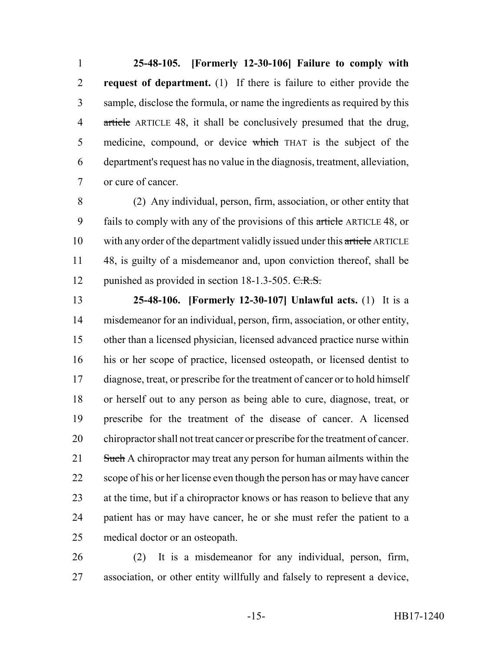**25-48-105. [Formerly 12-30-106] Failure to comply with request of department.** (1) If there is failure to either provide the sample, disclose the formula, or name the ingredients as required by this 4 article ARTICLE 48, it shall be conclusively presumed that the drug, 5 medicine, compound, or device which THAT is the subject of the department's request has no value in the diagnosis, treatment, alleviation, or cure of cancer.

 (2) Any individual, person, firm, association, or other entity that 9 fails to comply with any of the provisions of this article ARTICLE 48, or 10 with any order of the department validly issued under this article ARTICLE 48, is guilty of a misdemeanor and, upon conviction thereof, shall be 12 punished as provided in section 18-1.3-505. C.R.S.

 **25-48-106. [Formerly 12-30-107] Unlawful acts.** (1) It is a misdemeanor for an individual, person, firm, association, or other entity, other than a licensed physician, licensed advanced practice nurse within his or her scope of practice, licensed osteopath, or licensed dentist to diagnose, treat, or prescribe for the treatment of cancer or to hold himself or herself out to any person as being able to cure, diagnose, treat, or prescribe for the treatment of the disease of cancer. A licensed chiropractor shall not treat cancer or prescribe for the treatment of cancer. 21 Such A chiropractor may treat any person for human ailments within the scope of his or her license even though the person has or may have cancer at the time, but if a chiropractor knows or has reason to believe that any patient has or may have cancer, he or she must refer the patient to a medical doctor or an osteopath.

 (2) It is a misdemeanor for any individual, person, firm, association, or other entity willfully and falsely to represent a device,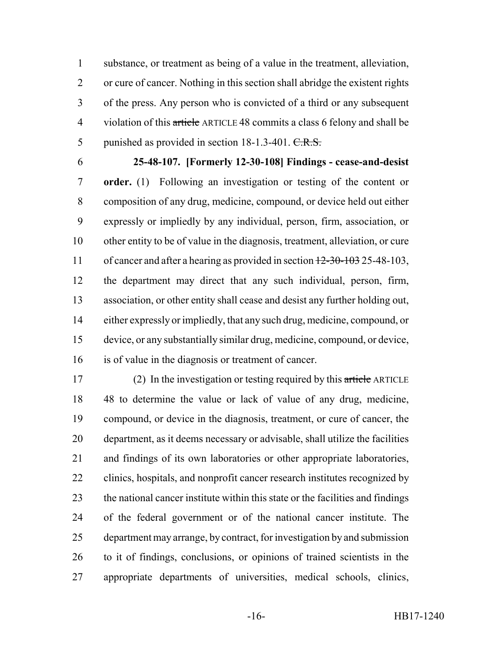substance, or treatment as being of a value in the treatment, alleviation, or cure of cancer. Nothing in this section shall abridge the existent rights of the press. Any person who is convicted of a third or any subsequent 4 violation of this article ARTICLE 48 commits a class 6 felony and shall be 5 punished as provided in section 18-1.3-401. C.R.S.

 **25-48-107. [Formerly 12-30-108] Findings - cease-and-desist order.** (1) Following an investigation or testing of the content or composition of any drug, medicine, compound, or device held out either expressly or impliedly by any individual, person, firm, association, or other entity to be of value in the diagnosis, treatment, alleviation, or cure 11 of cancer and after a hearing as provided in section  $12-30-103$  25-48-103, the department may direct that any such individual, person, firm, association, or other entity shall cease and desist any further holding out, either expressly or impliedly, that any such drug, medicine, compound, or device, or any substantially similar drug, medicine, compound, or device, is of value in the diagnosis or treatment of cancer.

17 (2) In the investigation or testing required by this article ARTICLE 48 to determine the value or lack of value of any drug, medicine, compound, or device in the diagnosis, treatment, or cure of cancer, the department, as it deems necessary or advisable, shall utilize the facilities and findings of its own laboratories or other appropriate laboratories, clinics, hospitals, and nonprofit cancer research institutes recognized by the national cancer institute within this state or the facilities and findings of the federal government or of the national cancer institute. The department may arrange, by contract, for investigation by and submission to it of findings, conclusions, or opinions of trained scientists in the appropriate departments of universities, medical schools, clinics,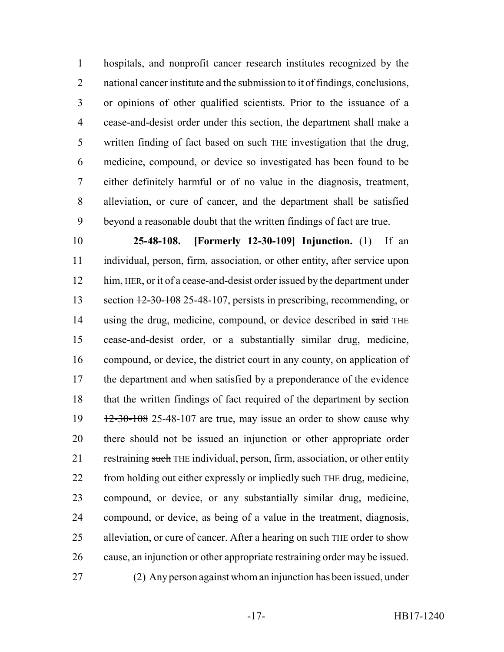hospitals, and nonprofit cancer research institutes recognized by the national cancer institute and the submission to it of findings, conclusions, or opinions of other qualified scientists. Prior to the issuance of a cease-and-desist order under this section, the department shall make a 5 written finding of fact based on such THE investigation that the drug, medicine, compound, or device so investigated has been found to be either definitely harmful or of no value in the diagnosis, treatment, alleviation, or cure of cancer, and the department shall be satisfied beyond a reasonable doubt that the written findings of fact are true.

 **25-48-108. [Formerly 12-30-109] Injunction.** (1) If an individual, person, firm, association, or other entity, after service upon 12 him, HER, or it of a cease-and-desist order issued by the department under 13 section  $\frac{12-30-108}{25-48-107}$ , persists in prescribing, recommending, or 14 using the drug, medicine, compound, or device described in said THE cease-and-desist order, or a substantially similar drug, medicine, compound, or device, the district court in any county, on application of the department and when satisfied by a preponderance of the evidence that the written findings of fact required of the department by section  $12-30-108$  25-48-107 are true, may issue an order to show cause why there should not be issued an injunction or other appropriate order 21 restraining such THE individual, person, firm, association, or other entity 22 from holding out either expressly or impliedly such THE drug, medicine, compound, or device, or any substantially similar drug, medicine, compound, or device, as being of a value in the treatment, diagnosis, 25 alleviation, or cure of cancer. After a hearing on such THE order to show cause, an injunction or other appropriate restraining order may be issued. (2) Any person against whom an injunction has been issued, under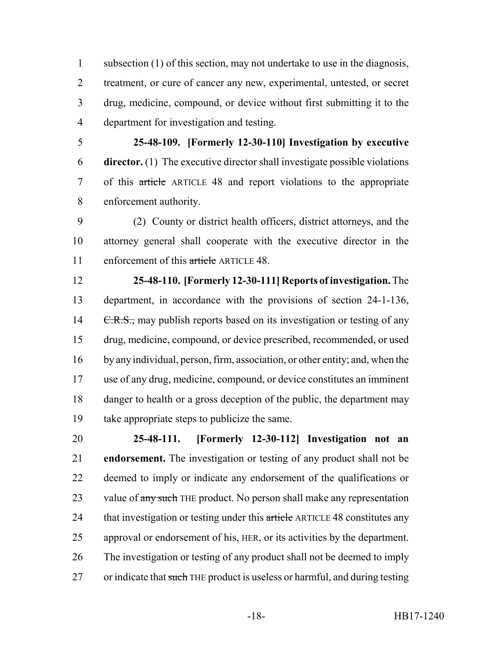subsection (1) of this section, may not undertake to use in the diagnosis, treatment, or cure of cancer any new, experimental, untested, or secret drug, medicine, compound, or device without first submitting it to the department for investigation and testing.

 **25-48-109. [Formerly 12-30-110] Investigation by executive director.** (1) The executive director shall investigate possible violations of this article ARTICLE 48 and report violations to the appropriate enforcement authority.

 (2) County or district health officers, district attorneys, and the attorney general shall cooperate with the executive director in the 11 enforcement of this article ARTICLE 48.

 **25-48-110. [Formerly 12-30-111] Reports of investigation.** The department, in accordance with the provisions of section 24-1-136, 14 C.R.S., may publish reports based on its investigation or testing of any drug, medicine, compound, or device prescribed, recommended, or used by any individual, person, firm, association, or other entity; and, when the use of any drug, medicine, compound, or device constitutes an imminent danger to health or a gross deception of the public, the department may take appropriate steps to publicize the same.

 **25-48-111. [Formerly 12-30-112] Investigation not an endorsement.** The investigation or testing of any product shall not be deemed to imply or indicate any endorsement of the qualifications or 23 value of any such THE product. No person shall make any representation 24 that investigation or testing under this article ARTICLE 48 constitutes any approval or endorsement of his, HER, or its activities by the department. The investigation or testing of any product shall not be deemed to imply 27 or indicate that such THE product is useless or harmful, and during testing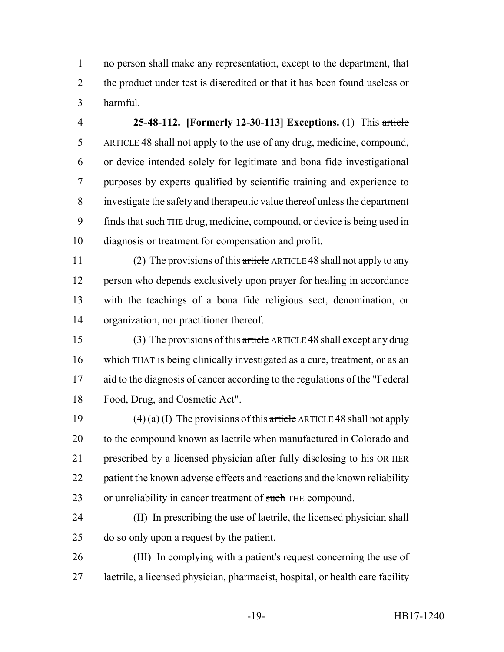no person shall make any representation, except to the department, that the product under test is discredited or that it has been found useless or harmful.

 **25-48-112. [Formerly 12-30-113] Exceptions.** (1) This article ARTICLE 48 shall not apply to the use of any drug, medicine, compound, or device intended solely for legitimate and bona fide investigational purposes by experts qualified by scientific training and experience to investigate the safety and therapeutic value thereof unless the department 9 finds that such THE drug, medicine, compound, or device is being used in diagnosis or treatment for compensation and profit.

11 (2) The provisions of this article ARTICLE 48 shall not apply to any person who depends exclusively upon prayer for healing in accordance with the teachings of a bona fide religious sect, denomination, or organization, nor practitioner thereof.

 (3) The provisions of this article ARTICLE 48 shall except any drug 16 which THAT is being clinically investigated as a cure, treatment, or as an aid to the diagnosis of cancer according to the regulations of the "Federal Food, Drug, and Cosmetic Act".

19 (4) (a) (I) The provisions of this article ARTICLE 48 shall not apply to the compound known as laetrile when manufactured in Colorado and prescribed by a licensed physician after fully disclosing to his OR HER 22 patient the known adverse effects and reactions and the known reliability 23 or unreliability in cancer treatment of such THE compound.

 (II) In prescribing the use of laetrile, the licensed physician shall do so only upon a request by the patient.

 (III) In complying with a patient's request concerning the use of laetrile, a licensed physician, pharmacist, hospital, or health care facility